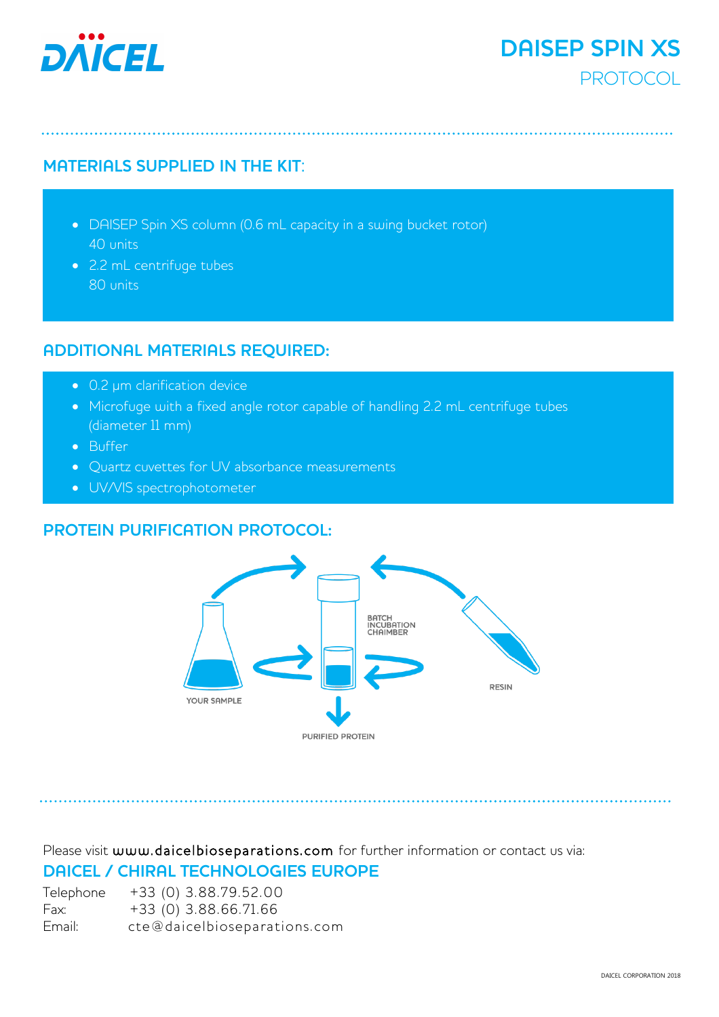

# **MATERIALS SUPPLIED IN THE KIT**:

- DAISEP Spin XS column (0.6 mL capacity in a swing bucket rotor) 40 units
- 2.2 mL centrifuge tubes 80 units

# **ADDITIONAL MATERIALS REQUIRED:**

- 0.2 µm clarification device
- Microfuge with a fixed angle rotor capable of handling 2.2 mL centrifuge tubes (diameter 11 mm)
- Buffer
- Quartz cuvettes for UV absorbance measurements
- UV/VIS spectrophotometer

# **PROTEIN PURIFICATION PROTOCOL:**



Please visit [www.daicelbioseparations.com](http://www.daicelbioseparations.com/) for further information or contact us via: **DAICEL / CHIRAL TECHNOLOGIES EUROPE** 

| Telephone | +33 (0) 3.88.79.52.00        |
|-----------|------------------------------|
| Fax:      | +33 (0) 3.88.66.71.66        |
| Email:    | cte@daicelbioseparations.com |